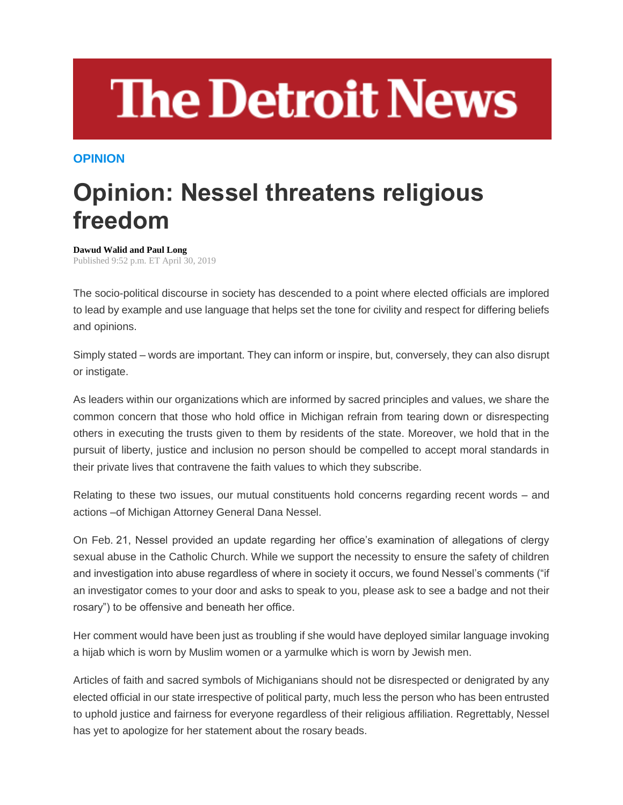## **The Detroit News**

## **OPINION**

## **Opinion: Nessel threatens religious freedom**

**Dawud Walid and Paul Long** Published 9:52 p.m. ET April 30, 2019

The socio-political discourse in society has descended to a point where elected officials are implored to lead by example and use language that helps set the tone for civility and respect for differing beliefs and opinions.

Simply stated – words are important. They can inform or inspire, but, conversely, they can also disrupt or instigate.

As leaders within our organizations which are informed by sacred principles and values, we share the common concern that those who hold office in Michigan refrain from tearing down or disrespecting others in executing the trusts given to them by residents of the state. Moreover, we hold that in the pursuit of liberty, justice and inclusion no person should be compelled to accept moral standards in their private lives that contravene the faith values to which they subscribe.

Relating to these two issues, our mutual constituents hold concerns regarding recent words – and actions –of Michigan Attorney General Dana Nessel.

On Feb. 21, Nessel provided an update regarding her office's examination of allegations of clergy sexual abuse in the Catholic Church. While we support the necessity to ensure the safety of children and investigation into abuse regardless of where in society it occurs, we found Nessel's comments ("if an investigator comes to your door and asks to speak to you, please ask to see a badge and not their rosary") to be offensive and beneath her office.

Her comment would have been just as troubling if she would have deployed similar language invoking a hijab which is worn by Muslim women or a yarmulke which is worn by Jewish men.

Articles of faith and sacred symbols of Michiganians should not be disrespected or denigrated by any elected official in our state irrespective of political party, much less the person who has been entrusted to uphold justice and fairness for everyone regardless of their religious affiliation. Regrettably, Nessel has yet to apologize for her statement about the rosary beads.